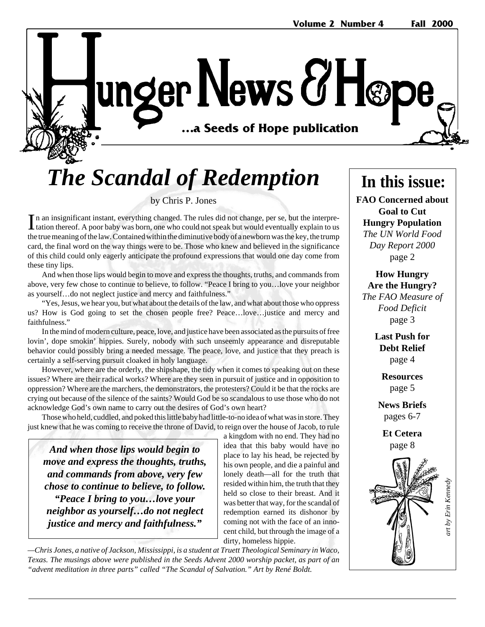unger News & Høp …a Seeds of Hope publication **…a Seeds of Hope publication**

# *The Scandal of Redemption*

by Chris P. Jones

In an insignificant instant, everything changed. The rules did not change, per se, but the interpretation thereof. A poor baby was born, one who could not speak but would eventually explain to us n an insignificant instant, everything changed. The rules did not change, per se, but the interprethe true meaning of the law. Contained within the diminutive body of a newborn was the key, the trump card, the final word on the way things were to be. Those who knew and believed in the significance of this child could only eagerly anticipate the profound expressions that would one day come from these tiny lips.

And when those lips would begin to move and express the thoughts, truths, and commands from above, very few chose to continue to believe, to follow. "Peace I bring to you…love your neighbor as yourself…do not neglect justice and mercy and faithfulness."

"Yes, Jesus, we hear you, but what about the details of the law, and what about those who oppress us? How is God going to set the chosen people free? Peace…love…justice and mercy and faithfulness."

In the mind of modern culture, peace, love, and justice have been associated as the pursuits of free lovin', dope smokin' hippies. Surely, nobody with such unseemly appearance and disreputable behavior could possibly bring a needed message. The peace, love, and justice that they preach is certainly a self-serving pursuit cloaked in holy language.

However, where are the orderly, the shipshape, the tidy when it comes to speaking out on these issues? Where are their radical works? Where are they seen in pursuit of justice and in opposition to oppression? Where are the marchers, the demonstrators, the protesters? Could it be that the rocks are crying out because of the silence of the saints? Would God be so scandalous to use those who do not acknowledge God's own name to carry out the desires of God's own heart?

Those who held, cuddled, and poked this little baby had little-to-no idea of what was in store. They just knew that he was coming to receive the throne of David, to reign over the house of Jacob, to rule

*And when those lips would begin to move and express the thoughts, truths, and commands from above, very few chose to continue to believe, to follow. "Peace I bring to you…love your neighbor as yourself…do not neglect justice and mercy and faithfulness."*

a kingdom with no end. They had no idea that this baby would have no place to lay his head, be rejected by his own people, and die a painful and lonely death—all for the truth that resided within him, the truth that they held so close to their breast. And it was better that way, for the scandal of redemption earned its dishonor by coming not with the face of an innocent child, but through the image of a dirty, homeless hippie.

*—Chris Jones, a native of Jackson, Mississippi, is a student at Truett Theological Seminary in Waco, Texas. The musings above were published in the Seeds Advent 2000 worship packet, as part of an "advent meditation in three parts" called "The Scandal of Salvation." Art by René Boldt.*

# **In this issue:**

**FAO Concerned about Goal to Cut Hungry Population** *The UN World Food Day Report 2000* page 2

**How Hungry Are the Hungry?** *The FAO Measure of Food Deficit* page 3

> **Last Push for Debt Relief** page 4

> > **Resources** page 5

**News Briefs** pages 6-7

**Et Cetera** page 8

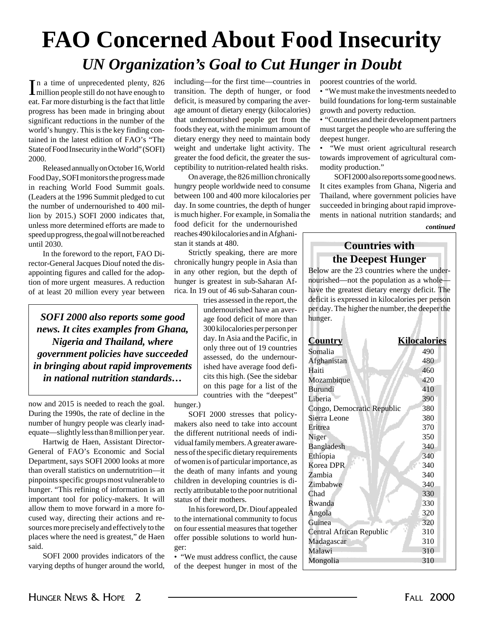# **FAO Concerned About Food Insecurity** *UN Organization's Goal to Cut Hunger in Doubt*

In a time of unprecedented plenty, 826<br>million people still do not have enough to n a time of unprecedented plenty, 826 eat. Far more disturbing is the fact that little progress has been made in bringing about significant reductions in the number of the world's hungry. This is the key finding contained in the latest edition of FAO's "The State of Food Insecurity in the World" (SOFI) 2000.

Released annually on October 16, World Food Day, SOFI monitors the progress made in reaching World Food Summit goals. (Leaders at the 1996 Summit pledged to cut the number of undernourished to 400 million by 2015.) SOFI 2000 indicates that, unless more determined efforts are made to speed up progress, the goal will not be reached until 2030.

In the foreword to the report, FAO Director-General Jacques Diouf noted the disappointing figures and called for the adoption of more urgent measures. A reduction of at least 20 million every year between

*SOFI 2000 also reports some good news. It cites examples from Ghana, Nigeria and Thailand, where government policies have succeeded in bringing about rapid improvements in national nutrition standards…*

now and 2015 is needed to reach the goal. During the 1990s, the rate of decline in the number of hungry people was clearly inadequate—slightly less than 8 million per year.

Hartwig de Haen, Assistant Director-General of FAO's Economic and Social Department, says SOFI 2000 looks at more than overall statistics on undernutrition—it pinpoints specific groups most vulnerable to hunger. "This refining of information is an important tool for policy-makers. It will allow them to move forward in a more focused way, directing their actions and resources more precisely and effectively to the places where the need is greatest," de Haen said.

SOFI 2000 provides indicators of the varying depths of hunger around the world, including—for the first time—countries in transition. The depth of hunger, or food deficit, is measured by comparing the average amount of dietary energy (kilocalories) that undernourished people get from the foods they eat, with the minimum amount of dietary energy they need to maintain body weight and undertake light activity. The greater the food deficit, the greater the susceptibility to nutrition-related health risks.

On average, the 826 million chronically hungry people worldwide need to consume between 100 and 400 more kilocalories per day. In some countries, the depth of hunger is much higher. For example, in Somalia the food deficit for the undernourished reaches 490 kilocalories and in Afghanistan it stands at 480.

Strictly speaking, there are more chronically hungry people in Asia than in any other region, but the depth of hunger is greatest in sub-Saharan Africa. In 19 out of 46 sub-Saharan coun-

tries assessed in the report, the undernourished have an average food deficit of more than 300 kilocalories per person per day. In Asia and the Pacific, in only three out of 19 countries assessed, do the undernourished have average food deficits this high. (See the sidebar on this page for a list of the countries with the "deepest"

hunger.)

SOFI 2000 stresses that policymakers also need to take into account the different nutritional needs of individual family members. A greater awareness of the specific dietary requirements of women is of particular importance, as the death of many infants and young children in developing countries is directly attributable to the poor nutritional status of their mothers.

In his foreword, Dr. Diouf appealed to the international community to focus on four essential measures that together offer possible solutions to world hunger:

• "We must address conflict, the cause of the deepest hunger in most of the poorest countries of the world.

• "We must make the investments needed to build foundations for long-term sustainable growth and poverty reduction.

• "Countries and their development partners must target the people who are suffering the deepest hunger.

• "We must orient agricultural research towards improvement of agricultural commodity production."

SOFI 2000 also reports some good news. It cites examples from Ghana, Nigeria and Thailand, where government policies have succeeded in bringing about rapid improvements in national nutrition standards; and

#### *continued*

# **Countries with the Deepest Hunger**

Below are the 23 countries where the undernourished—not the population as a whole have the greatest dietary energy deficit. The deficit is expressed in kilocalories per person per day. The higher the number, the deeper the hunger.

| <b>Country</b>             | <b>Kilocalories</b> |
|----------------------------|---------------------|
| Somalia                    | 490                 |
| Afghanistan                | 480                 |
| Haiti                      | 460                 |
| Mozambique                 | 420                 |
| <b>Burundi</b>             | 410                 |
| Liberia                    | 390                 |
| Congo, Democratic Republic | 380                 |
| Sierra Leone               | 380                 |
| Eritrea                    | 370                 |
| Niger                      | 350                 |
| Bangladesh                 | 340                 |
| Ethiopia                   | 340                 |
| Korea DPR                  | 340                 |
| Zambia                     | 340                 |
| Zimbabwe                   | 340                 |
| Chad                       | 330                 |
| Rwanda                     | 330                 |
| Angola                     | 320                 |
| Guinea                     | 320                 |
| Central African Republic   | 310                 |
| Madagascar                 | 310                 |
| Malawi                     | 310                 |
| Mongolia                   | 310                 |
|                            |                     |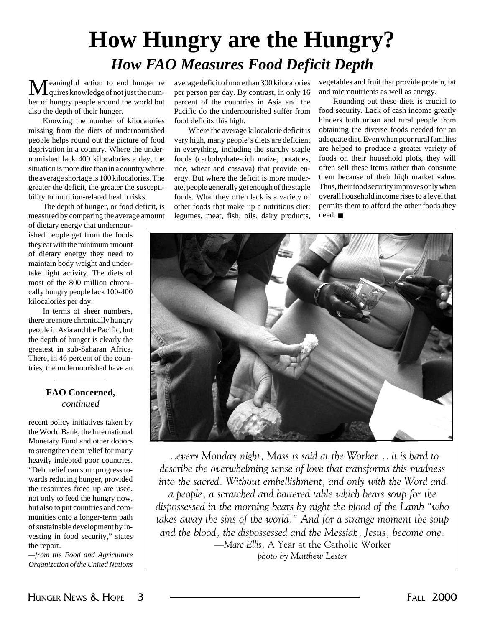# **How Hungry are the Hungry?** *How FAO Measures Food Deficit Depth*

eaningful action to end hunger re  $\perp$  quires knowledge of not just the number of hungry people around the world but also the depth of their hunger.

Knowing the number of kilocalories missing from the diets of undernourished people helps round out the picture of food deprivation in a country. Where the undernourished lack 400 kilocalories a day, the situation is more dire than in a country where the average shortage is 100 kilocalories. The greater the deficit, the greater the susceptibility to nutrition-related health risks.

The depth of hunger, or food deficit, is measured by comparing the average amount

of dietary energy that undernourished people get from the foods they eat with the minimum amount of dietary energy they need to maintain body weight and undertake light activity. The diets of most of the 800 million chronically hungry people lack 100-400 kilocalories per day.

In terms of sheer numbers, there are more chronically hungry people in Asia and the Pacific, but the depth of hunger is clearly the greatest in sub-Saharan Africa. There, in 46 percent of the countries, the undernourished have an

## **FAO Concerned,** *continued*

recent policy initiatives taken by the World Bank, the International Monetary Fund and other donors to strengthen debt relief for many heavily indebted poor countries. "Debt relief can spur progress towards reducing hunger, provided the resources freed up are used, not only to feed the hungry now, but also to put countries and communities onto a longer-term path of sustainable development by investing in food security," states the report.

*—from the Food and Agriculture Organization of the United Nations* average deficit of more than 300 kilocalories per person per day. By contrast, in only 16 percent of the countries in Asia and the Pacific do the undernourished suffer from food deficits this high.

Where the average kilocalorie deficit is very high, many people's diets are deficient in everything, including the starchy staple foods (carbohydrate-rich maize, potatoes, rice, wheat and cassava) that provide energy. But where the deficit is more moderate, people generally get enough of the staple foods. What they often lack is a variety of other foods that make up a nutritious diet: legumes, meat, fish, oils, dairy products,

vegetables and fruit that provide protein, fat and micronutrients as well as energy.

Rounding out these diets is crucial to food security. Lack of cash income greatly hinders both urban and rural people from obtaining the diverse foods needed for an adequate diet. Even when poor rural families are helped to produce a greater variety of foods on their household plots, they will often sell these items rather than consume them because of their high market value. Thus, their food security improves only when overall household income rises to a level that permits them to afford the other foods they need. ■



*…every Monday night, Mass is said at the Worker… it is hard to describe the overwhelming sense of love that transforms this madness into the sacred. Without embellishment, and only with the Word and a people, a scratched and battered table which bears soup for the dispossessed in the morning bears by night the blood of the Lamb "who takes away the sins of the world." And for a strange moment the soup and the blood, the dispossessed and the Messiah, Jesus, become one. —Marc Ellis,* A Year at the Catholic Worker *photo by Matthew Lester*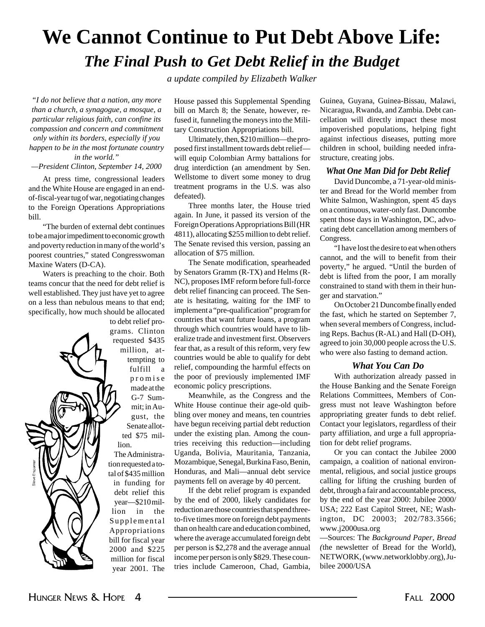# **We Cannot Continue to Put Debt Above Life:** *The Final Push to Get Debt Relief in the Budget*

*a update compiled by Elizabeth Walker*

*"I do not believe that a nation, any more than a church, a synagogue, a mosque, a particular religious faith, can confine its compassion and concern and commitment only within its borders, especially if you happen to be in the most fortunate country in the world."*

*—President Clinton, September 14, 2000*

At press time, congressional leaders and the White House are engaged in an endof-fiscal-year tug of war, negotiating changes to the Foreign Operations Appropriations bill.

"The burden of external debt continues to be a major impediment to economic growth and poverty reduction in many of the world's poorest countries," stated Congresswoman Maxine Waters (D-CA).

Waters is preaching to the choir. Both teams concur that the need for debt relief is well established. They just have yet to agree on a less than nebulous means to that end; specifically, how much should be allocated

to debt relief programs. Clinton requested \$435 million, attempting to fulfill a promise made at the G-7 Summit; in August, the Senate allotted \$75 million.

The Administration requested a total of \$435 million in funding for debt relief this year—\$210 million in the Supplemental Appropriations bill for fiscal year 2000 and \$225 million for fiscal year 2001. The

House passed this Supplemental Spending bill on March 8; the Senate, however, refused it, funneling the moneys into the Military Construction Appropriations bill.

Ultimately, then, \$210 million—the proposed first installment towards debt relief will equip Colombian Army battalions for drug interdiction (an amendment by Sen. Wellstome to divert some money to drug treatment programs in the U.S. was also defeated).

Three months later, the House tried again. In June, it passed its version of the Foreign Operations Appropriations Bill (HR 4811), allocating \$255 million to debt relief. The Senate revised this version, passing an allocation of \$75 million.

The Senate modification, spearheaded by Senators Gramm (R-TX) and Helms (R-NC), proposes IMF reform before full-force debt relief financing can proceed. The Senate is hesitating, waiting for the IMF to implement a "pre-qualification" program for countries that want future loans, a program through which countries would have to liberalize trade and investment first. Observers fear that, as a result of this reform, very few countries would be able to qualify for debt relief, compounding the harmful effects on the poor of previously implemented IMF economic policy prescriptions.

Meanwhile, as the Congress and the White House continue their age-old quibbling over money and means, ten countries have begun receiving partial debt reduction under the existing plan. Among the countries receiving this reduction—including Uganda, Bolivia, Mauritania, Tanzania, Mozambique, Senegal, Burkina Faso, Benin, Honduras, and Mali—annual debt service payments fell on average by 40 percent.

If the debt relief program is expanded by the end of 2000, likely candidates for reduction are those countries that spend threeto-five times more on foreign debt payments than on health care and education combined, where the average accumulated foreign debt per person is \$2,278 and the average annual income per person is only \$829. These countries include Cameroon, Chad, Gambia,

Guinea, Guyana, Guinea-Bissau, Malawi, Nicaragua, Rwanda, and Zambia. Debt cancellation will directly impact these most impoverished populations, helping fight against infectious diseases, putting more children in school, building needed infrastructure, creating jobs.

### *What One Man Did for Debt Relief*

David Duncombe, a 71-year-old minister and Bread for the World member from White Salmon, Washington, spent 45 days on a continuous, water-only fast. Duncombe spent those days in Washington, DC, advocating debt cancellation among members of Congress.

"I have lost the desire to eat when others cannot, and the will to benefit from their poverty," he argued. "Until the burden of debt is lifted from the poor, I am morally constrained to stand with them in their hunger and starvation."

On October 21 Duncombe finally ended the fast, which he started on September 7, when several members of Congress, including Reps. Bachus (R-AL) and Hall (D-OH), agreed to join 30,000 people across the U.S. who were also fasting to demand action.

## *What You Can Do*

With authorization already passed in the House Banking and the Senate Foreign Relations Committees, Members of Congress must not leave Washington before appropriating greater funds to debt relief. Contact your legislators, regardless of their party affiliation, and urge a full appropriation for debt relief programs.

Or you can contact the Jubilee 2000 campaign, a coalition of national environmental, religious, and social justice groups calling for lifting the crushing burden of debt, through a fair and accountable process, by the end of the year 2000: Jubilee 2000/ USA; 222 East Capitol Street, NE; Washington, DC 20003; 202/783.3566; www.j2000usa.org

—Sources: The *Background Paper*, *Bread (*the newsletter of Bread for the World), NETWORK, (www.networklobby.org), Jubilee 2000/USA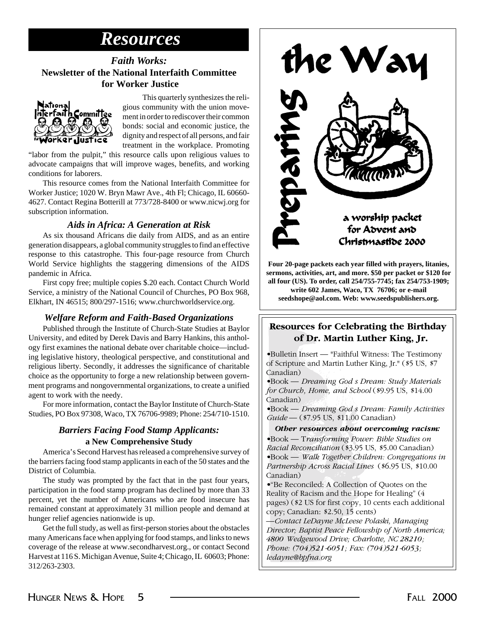# *Resources*

# *Faith Works:* **Newsletter of the National Interfaith Committee for Worker Justice**



This quarterly synthesizes the religious community with the union movement in order to rediscover their common bonds: social and economic justice, the dignity and respect of all persons, and fair treatment in the workplace. Promoting

"labor from the pulpit," this resource calls upon religious values to advocate campaigns that will improve wages, benefits, and working conditions for laborers.

This resource comes from the National Interfaith Committee for Worker Justice; 1020 W. Bryn Mawr Ave., 4th Fl; Chicago, IL 60660- 4627. Contact Regina Botterill at 773/728-8400 or www.nicwj.org for subscription information.

## *Aids in Africa: A Generation at Risk*

As six thousand Africans die daily from AIDS, and as an entire generation disappears, a global community struggles to find an effective response to this catastrophe. This four-page resource from Church World Service highlights the staggering dimensions of the AIDS pandemic in Africa.

First copy free; multiple copies \$.20 each. Contact Church World Service, a ministry of the National Council of Churches, PO Box 968, Elkhart, IN 46515; 800/297-1516; www.churchworldservice.org.

## *Welfare Reform and Faith-Based Organizations*

Published through the Institute of Church-State Studies at Baylor University, and edited by Derek Davis and Barry Hankins, this anthology first examines the national debate over charitable choice—including legislative history, theological perspective, and constitutional and religious liberty. Secondly, it addresses the significance of charitable choice as the opportunity to forge a new relationship between government programs and nongovernmental organizations, to create a unified agent to work with the needy.

For more information, contact the Baylor Institute of Church-State Studies, PO Box 97308, Waco, TX 76706-9989; Phone: 254/710-1510.

# *Barriers Facing Food Stamp Applicants:* **a New Comprehensive Study**

America's Second Harvest has released a comprehensive survey of the barriers facing food stamp applicants in each of the 50 states and the District of Columbia.

The study was prompted by the fact that in the past four years, participation in the food stamp program has declined by more than 33 percent, yet the number of Americans who are food insecure has remained constant at approximately 31 million people and demand at hunger relief agencies nationwide is up.

Get the full study, as well as first-person stories about the obstacles many Americans face when applying for food stamps, and links to news coverage of the release at www.secondharvest.org., or contact Second Harvest at 116 S. Michigan Avenue, Suite 4; Chicago, IL 60603; Phone: 312/263-2303.



**Four 20-page packets each year filled with prayers, litanies, sermons, activities, art, and more. \$50 per packet or \$120 for all four (US). To order, call 254/755-7745; fax 254/753-1909; write 602 James, Waco, TX 76706; or e-mail**

**seedshope@aol.com. Web: www.seedspublishers.org.**

## **Resources for Celebrating the Birthday of Dr. Martin Luther King, Jr.**

• Bulletin Insert — "Faithful Witness: The Testimony of Scripture and Martin Luther King, Jr." (\$5 US, \$7 Canadian)

• Book — *Dreaming God s Dream: Study Materials for Church, Home, and School* (\$9.95 US, \$14.00 Canadian)

• Book — *Dreaming God s Dream: Family Activities Guide* — (\$7.95 US, \$11.00 Canadian)

*Other resources about overcoming racism:*

• Book — T*ransforming Power: Bible Studies on Racial Reconciliation* (\$3.95 US, \$5.00 Canadian) • Book — *Walk Together Children: Congregations in Partnership Across Racial Lines* (\$6.95 US, \$10.00 Canadian)

• "Be Reconciled: A Collection of Quotes on the Reality of Racism and the Hope for Healing" (4 pages) (\$2 US for first copy, 10 cents each additional copy; Canadian: \$2.50, 15 cents)

*—Contact LeDayne McLeese Polaski, Managing Director; Baptist Peace Fellowship of North America; 4800 Wedgewood Drive; Charlotte, NC 28210; Phone: (704)521-6051; Fax: (704)521-6053; ledayne@bpfna.org*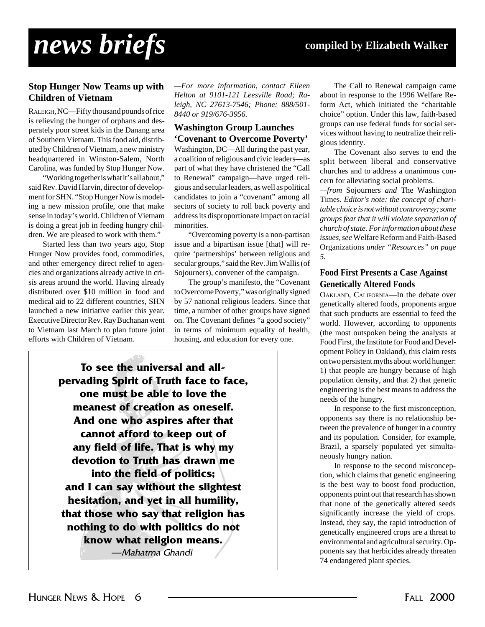# *news briefs* **compiled by Elizabeth Walker**

## **Stop Hunger Now Teams up with Children of Vietnam**

RALEIGH, NC—Fifty thousand pounds of rice is relieving the hunger of orphans and desperately poor street kids in the Danang area of Southern Vietnam. This food aid, distributed by Children of Vietnam, a new ministry headquartered in Winston-Salem, North Carolina, was funded by Stop Hunger Now.

"Working together is what it's all about," said Rev. David Harvin, director of development for SHN. "Stop Hunger Now is modeling a new mission profile, one that make sense in today's world. Children of Vietnam is doing a great job in feeding hungry children. We are pleased to work with them."

Started less than two years ago, Stop Hunger Now provides food, commodities, and other emergency direct relief to agencies and organizations already active in crisis areas around the world. Having already distributed over \$10 million in food and medical aid to 22 different countries, SHN launched a new initiative earlier this year. Executive Director Rev. Ray Buchanan went to Vietnam last March to plan future joint efforts with Children of Vietnam.

*—For more information, contact Eileen Helton at 9101-121 Leesville Road; Raleigh, NC 27613-7546; Phone: 888/501- 8440 or 919/676-3956.*

### **Washington Group Launches 'Covenant to Overcome Poverty'**

Washington, DC—All during the past year, a coalition of religious and civic leaders—as part of what they have christened the "Call to Renewal" campaign—have urged religious and secular leaders, as well as political candidates to join a "covenant" among all sectors of society to roll back poverty and address its disproportionate impact on racial minorities.

"Overcoming poverty is a non-partisan issue and a bipartisan issue [that] will require 'partnerships' between religious and secular groups," said the Rev. Jim Wallis (of Sojourners), convener of the campaign.

The group's manifesto, the "Covenant to Overcome Poverty," was originally signed by 57 national religious leaders. Since that time, a number of other groups have signed on. The Covenant defines "a good society" in terms of minimum equality of health, housing, and education for every one.

**To see the universal and allpervading Spirit of Truth face to face, one must be able to love the meanest of creation as oneself. And one who aspires after that cannot afford to keep out of any field of life. That is why my devotion to Truth has drawn me into the field of politics; and I can say without the slightest hesitation, and yet in all humility, that those who say that religion has nothing to do with politics do not know what religion means.** —Mahatma Ghandi

The Call to Renewal campaign came about in response to the 1996 Welfare Reform Act, which initiated the "charitable choice" option. Under this law, faith-based groups can use federal funds for social services without having to neutralize their religious identity.

The Covenant also serves to end the split between liberal and conservative churches and to address a unanimous concern for alleviating social problems.

*—from* Sojourners *and* The Washington Times. *Editor's note: the concept of charitable choice is not without controversy; some groups fear that it will violate separation of church of state. For information about these issues, see* Welfare Reform and Faith-Based Organizations *under "Resources" on page 5.*

### **Food First Presents a Case Against Genetically Altered Foods**

OAKLAND, CALIFORNIA—In the debate over genetically altered foods, proponents argue that such products are essential to feed the world. However, according to opponents (the most outspoken being the analysts at Food First, the Institute for Food and Development Policy in Oakland), this claim rests on two persistent myths about world hunger: 1) that people are hungry because of high population density, and that 2) that genetic engineering is the best means to address the needs of the hungry.

In response to the first misconception, opponents say there is no relationship between the prevalence of hunger in a country and its population. Consider, for example, Brazil, a sparsely populated yet simultaneously hungry nation.

In response to the second misconception, which claims that genetic engineering is the best way to boost food production, opponents point out that research has shown that none of the genetically altered seeds significantly increase the yield of crops. Instead, they say, the rapid introduction of genetically engineered crops are a threat to environmental and agricultural security. Opponents say that herbicides already threaten 74 endangered plant species.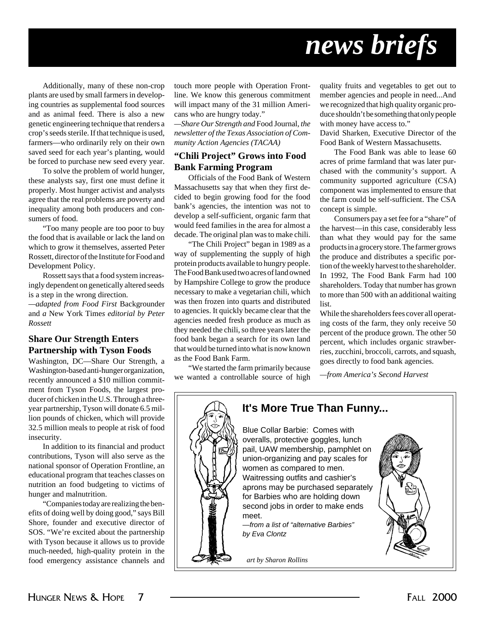# *news briefs*

Additionally, many of these non-crop plants are used by small farmers in developing countries as supplemental food sources and as animal feed. There is also a new genetic engineering technique that renders a crop's seeds sterile. If that technique is used, farmers—who ordinarily rely on their own saved seed for each year's planting, would be forced to purchase new seed every year.

To solve the problem of world hunger, these analysts say, first one must define it properly. Most hunger activist and analysts agree that the real problems are poverty and inequality among both producers and consumers of food.

"Too many people are too poor to buy the food that is available or lack the land on which to grow it themselves, asserted Peter Rossett, director of the Institute for Food and Development Policy.

Rossett says that a food system increasingly dependent on genetically altered seeds is a step in the wrong direction.

*—adapted from Food First* Backgrounder and *a* New York Time*s editorial by Peter Rossett*

# **Share Our Strength Enters Partnership with Tyson Foods**

Washington, DC—Share Our Strength, a Washington-based anti-hunger organization, recently announced a \$10 million commitment from Tyson Foods, the largest producer of chicken in the U.S. Through a threeyear partnership, Tyson will donate 6.5 million pounds of chicken, which will provide 32.5 million meals to people at risk of food insecurity.

In addition to its financial and product contributions, Tyson will also serve as the national sponsor of Operation Frontline, an educational program that teaches classes on nutrition an food budgeting to victims of hunger and malnutrition.

"Companies today are realizing the benefits of doing well by doing good," says Bill Shore, founder and executive director of SOS. "We're excited about the partnership with Tyson because it allows us to provide much-needed, high-quality protein in the food emergency assistance channels and

touch more people with Operation Frontline. We know this generous commitment will impact many of the 31 million Americans who are hungry today."

*—Share Our Strength and* Food Journal*, the newsletter of the Texas Association of Community Action Agencies (TACAA)*

### **"Chili Project" Grows into Food Bank Farming Program**

Officials of the Food Bank of Western Massachusetts say that when they first decided to begin growing food for the food bank's agencies, the intention was not to develop a self-sufficient, organic farm that would feed families in the area for almost a decade. The original plan was to make chili.

"The Chili Project" began in 1989 as a way of supplementing the supply of high protein products available to hungry people. The Food Bank used two acres of land owned by Hampshire College to grow the produce necessary to make a vegetarian chili, which was then frozen into quarts and distributed to agencies. It quickly became clear that the agencies needed fresh produce as much as they needed the chili, so three years later the food bank began a search for its own land that would be turned into what is now known as the Food Bank Farm.

"We started the farm primarily because we wanted a controllable source of high quality fruits and vegetables to get out to member agencies and people in need...And we recognized that high quality organic produce shouldn't be something that only people with money have access to."

David Sharken, Executive Director of the Food Bank of Western Massachusetts.

The Food Bank was able to lease 60 acres of prime farmland that was later purchased with the community's support. A community supported agriculture (CSA) component was implemented to ensure that the farm could be self-sufficient. The CSA concept is simple.

Consumers pay a set fee for a "share" of the harvest—in this case, considerably less than what they would pay for the same products in a grocery store. The farmer grows the produce and distributes a specific portion of the weekly harvest to the shareholder. In 1992, The Food Bank Farm had 100 shareholders. Today that number has grown to more than 500 with an additional waiting list.

While the shareholders fees cover all operating costs of the farm, they only receive 50 percent of the produce grown. The other 50 percent, which includes organic strawberries, zucchini, broccoli, carrots, and squash, goes directly to food bank agencies.

*—from America's Second Harvest*

# **It's More True Than Funny...**

Blue Collar Barbie: Comes with overalls, protective goggles, lunch pail, UAW membership, pamphlet on union-organizing and pay scales for women as compared to men. Waitressing outfits and cashier's aprons may be purchased separately for Barbies who are holding down second jobs in order to make ends meet.

—from a list of "alternative Barbies" by Eva Clontz

*art by Sharon Rollins*



HUNGER NEWS & HOPE 7 THE CONSTRUCTION OF THE 2000